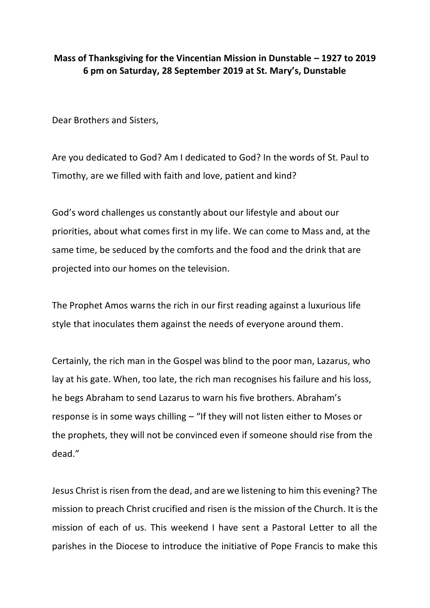## **Mass of Thanksgiving for the Vincentian Mission in Dunstable – 1927 to 2019 6 pm on Saturday, 28 September 2019 at St. Mary's, Dunstable**

Dear Brothers and Sisters,

Are you dedicated to God? Am I dedicated to God? In the words of St. Paul to Timothy, are we filled with faith and love, patient and kind?

God's word challenges us constantly about our lifestyle and about our priorities, about what comes first in my life. We can come to Mass and, at the same time, be seduced by the comforts and the food and the drink that are projected into our homes on the television.

The Prophet Amos warns the rich in our first reading against a luxurious life style that inoculates them against the needs of everyone around them.

Certainly, the rich man in the Gospel was blind to the poor man, Lazarus, who lay at his gate. When, too late, the rich man recognises his failure and his loss, he begs Abraham to send Lazarus to warn his five brothers. Abraham's response is in some ways chilling – "If they will not listen either to Moses or the prophets, they will not be convinced even if someone should rise from the dead."

Jesus Christ is risen from the dead, and are we listening to him this evening? The mission to preach Christ crucified and risen is the mission of the Church. It is the mission of each of us. This weekend I have sent a Pastoral Letter to all the parishes in the Diocese to introduce the initiative of Pope Francis to make this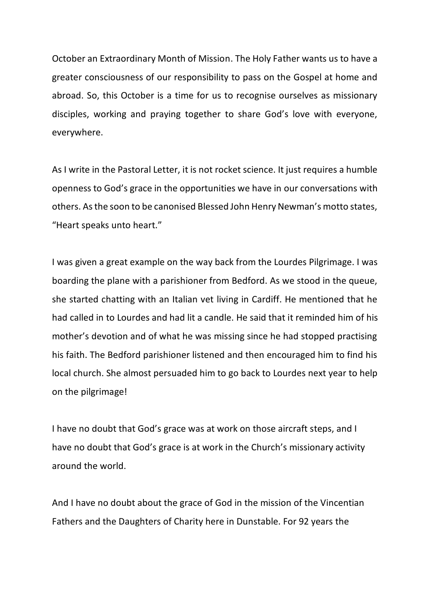October an Extraordinary Month of Mission. The Holy Father wants us to have a greater consciousness of our responsibility to pass on the Gospel at home and abroad. So, this October is a time for us to recognise ourselves as missionary disciples, working and praying together to share God's love with everyone, everywhere.

As I write in the Pastoral Letter, it is not rocket science. It just requires a humble openness to God's grace in the opportunities we have in our conversations with others. As the soon to be canonised Blessed John Henry Newman's motto states, "Heart speaks unto heart."

I was given a great example on the way back from the Lourdes Pilgrimage. I was boarding the plane with a parishioner from Bedford. As we stood in the queue, she started chatting with an Italian vet living in Cardiff. He mentioned that he had called in to Lourdes and had lit a candle. He said that it reminded him of his mother's devotion and of what he was missing since he had stopped practising his faith. The Bedford parishioner listened and then encouraged him to find his local church. She almost persuaded him to go back to Lourdes next year to help on the pilgrimage!

I have no doubt that God's grace was at work on those aircraft steps, and I have no doubt that God's grace is at work in the Church's missionary activity around the world.

And I have no doubt about the grace of God in the mission of the Vincentian Fathers and the Daughters of Charity here in Dunstable. For 92 years the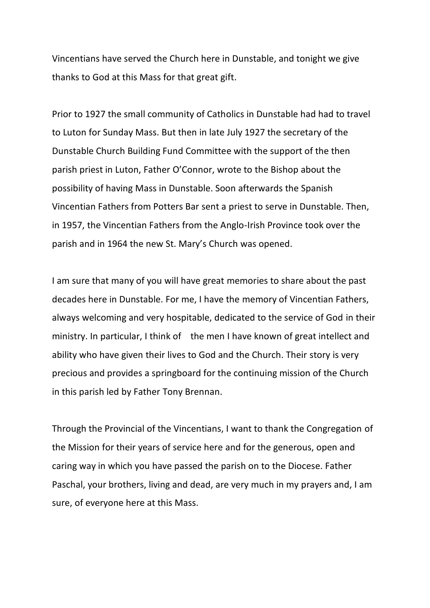Vincentians have served the Church here in Dunstable, and tonight we give thanks to God at this Mass for that great gift.

Prior to 1927 the small community of Catholics in Dunstable had had to travel to Luton for Sunday Mass. But then in late July 1927 the secretary of the Dunstable Church Building Fund Committee with the support of the then parish priest in Luton, Father O'Connor, wrote to the Bishop about the possibility of having Mass in Dunstable. Soon afterwards the Spanish Vincentian Fathers from Potters Bar sent a priest to serve in Dunstable. Then, in 1957, the Vincentian Fathers from the Anglo-Irish Province took over the parish and in 1964 the new St. Mary's Church was opened.

I am sure that many of you will have great memories to share about the past decades here in Dunstable. For me, I have the memory of Vincentian Fathers, always welcoming and very hospitable, dedicated to the service of God in their ministry. In particular, I think of the men I have known of great intellect and ability who have given their lives to God and the Church. Their story is very precious and provides a springboard for the continuing mission of the Church in this parish led by Father Tony Brennan.

Through the Provincial of the Vincentians, I want to thank the Congregation of the Mission for their years of service here and for the generous, open and caring way in which you have passed the parish on to the Diocese. Father Paschal, your brothers, living and dead, are very much in my prayers and, I am sure, of everyone here at this Mass.